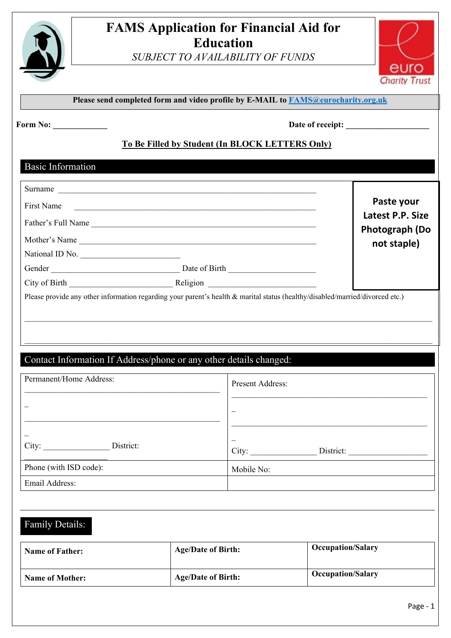

# **FAMS Application for Financial Aid for Education**

*SUBJECT TO AVAILABILITY OF FUNDS*



Page - 1

| Please send completed form and video profile by E-MAIL to <b>FAMS@eurocharity.org.uk</b> |  |
|------------------------------------------------------------------------------------------|--|
|------------------------------------------------------------------------------------------|--|

**Form No: Date of receipt:**  $\blacksquare$ 

## **To Be Filled by Student (In BLOCK LETTERS Only)**

## Basic Information

| Surname                                                                                                                       |                  |                                      |
|-------------------------------------------------------------------------------------------------------------------------------|------------------|--------------------------------------|
| First Name                                                                                                                    |                  | Paste your                           |
|                                                                                                                               |                  | Latest P.P. Size                     |
| Mother's Name                                                                                                                 |                  | <b>Photograph (Do</b><br>not staple) |
| National ID No.                                                                                                               |                  |                                      |
|                                                                                                                               |                  |                                      |
|                                                                                                                               |                  |                                      |
| Please provide any other information regarding your parent's health & marital status (healthy/disabled/married/divorced etc.) |                  |                                      |
|                                                                                                                               |                  |                                      |
|                                                                                                                               |                  |                                      |
|                                                                                                                               |                  |                                      |
| Contact Information If Address/phone or any other details changed:                                                            |                  |                                      |
|                                                                                                                               |                  |                                      |
|                                                                                                                               |                  |                                      |
| Permanent/Home Address:                                                                                                       | Present Address: |                                      |
|                                                                                                                               |                  |                                      |
|                                                                                                                               |                  |                                      |
|                                                                                                                               |                  |                                      |
| City: District:                                                                                                               |                  |                                      |
|                                                                                                                               |                  |                                      |
| Phone (with ISD code):                                                                                                        | Mobile No:       |                                      |
| Email Address:                                                                                                                |                  |                                      |
|                                                                                                                               |                  |                                      |
|                                                                                                                               |                  |                                      |
| Family Details:                                                                                                               |                  |                                      |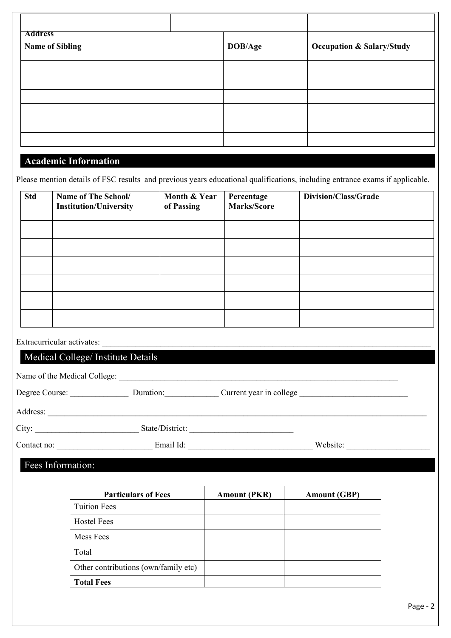| <b>Address</b>              |         |                                      |
|-----------------------------|---------|--------------------------------------|
| <b>Name of Sibling</b>      | DOB/Age | <b>Occupation &amp; Salary/Study</b> |
|                             |         |                                      |
|                             |         |                                      |
|                             |         |                                      |
|                             |         |                                      |
|                             |         |                                      |
|                             |         |                                      |
| <b>Academic Information</b> |         |                                      |

Please mention details of FSC results and previous years educational qualifications, including entrance exams if applicable.

| <b>Std</b> | Name of The School/<br><b>Institution/University</b> | Month & Year<br>of Passing | Percentage<br><b>Marks/Score</b> | <b>Division/Class/Grade</b> |  |
|------------|------------------------------------------------------|----------------------------|----------------------------------|-----------------------------|--|
|            |                                                      |                            |                                  |                             |  |
|            |                                                      |                            |                                  |                             |  |
|            |                                                      |                            |                                  |                             |  |
|            |                                                      |                            |                                  |                             |  |
|            |                                                      |                            |                                  |                             |  |
|            |                                                      |                            |                                  |                             |  |
|            | Extracurricular activates:                           |                            |                                  |                             |  |
|            | Medical College/ Institute Details                   |                            |                                  |                             |  |
|            |                                                      |                            |                                  |                             |  |
|            |                                                      |                            |                                  |                             |  |
|            |                                                      |                            |                                  |                             |  |
|            |                                                      |                            |                                  |                             |  |
|            |                                                      |                            |                                  |                             |  |
|            | Fees Information:                                    |                            |                                  |                             |  |
|            |                                                      |                            |                                  |                             |  |
|            | <b>Particulars of Fees</b>                           |                            | <b>Amount (PKR)</b>              | <b>Amount (GBP)</b>         |  |
|            | <b>Tuition Fees</b>                                  |                            |                                  |                             |  |
|            | <b>Hostel Fees</b>                                   |                            |                                  |                             |  |
|            | Mess Fees                                            |                            |                                  |                             |  |

Total

**Total Fees**

Other contributions (own/family etc)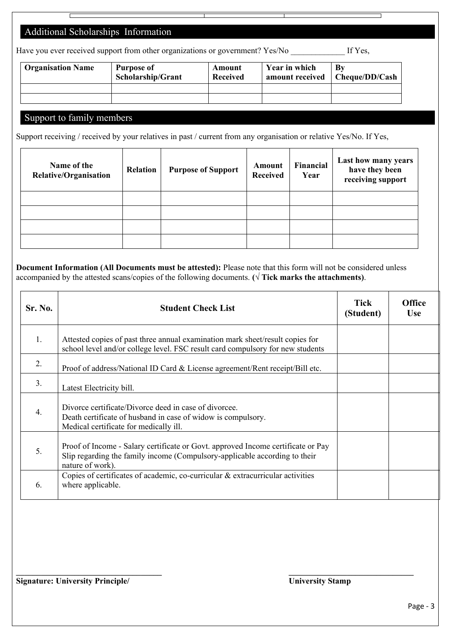## Additional Scholarships Information

| Have you ever received support from other organizations or government? Yes/No |  |  |  | If Yes. |
|-------------------------------------------------------------------------------|--|--|--|---------|
|                                                                               |  |  |  |         |
|                                                                               |  |  |  |         |
|                                                                               |  |  |  |         |

| <b>Organisation Name</b> | Purpose of<br><b>Scholarship/Grant</b> | Amount<br><b>Received</b> | Year in which<br>amount received | By<br>Cheque/DD/Cash |
|--------------------------|----------------------------------------|---------------------------|----------------------------------|----------------------|
|                          |                                        |                           |                                  |                      |
|                          |                                        |                           |                                  |                      |

#### Support to family members

Support receiving / received by your relatives in past / current from any organisation or relative Yes/No. If Yes,

| Name of the<br><b>Relative/Organisation</b> | Relation | <b>Purpose of Support</b> | Amount<br><b>Received</b> | Financial<br>Year | Last how many years<br>have they been<br>receiving support |
|---------------------------------------------|----------|---------------------------|---------------------------|-------------------|------------------------------------------------------------|
|                                             |          |                           |                           |                   |                                                            |
|                                             |          |                           |                           |                   |                                                            |
|                                             |          |                           |                           |                   |                                                            |
|                                             |          |                           |                           |                   |                                                            |

**Document Information (All Documents must be attested):** Please note that this form will not be considered unless accompanied by the attested scans/copies of the following documents.  $(\sqrt{\text{Tick marks the attachments}})$ .

| Sr. No. | <b>Student Check List</b>                                                                                                                                                          | <b>Tick</b><br>(Student) | <b>Office</b><br><b>Use</b> |
|---------|------------------------------------------------------------------------------------------------------------------------------------------------------------------------------------|--------------------------|-----------------------------|
| 1.      | Attested copies of past three annual examination mark sheet/result copies for<br>school level and/or college level. FSC result card compulsory for new students                    |                          |                             |
| 2.      | Proof of address/National ID Card & License agreement/Rent receipt/Bill etc.                                                                                                       |                          |                             |
| 3.      | Latest Electricity bill.                                                                                                                                                           |                          |                             |
| 4.      | Divorce certificate/Divorce deed in case of divorcee.<br>Death certificate of husband in case of widow is compulsory.<br>Medical certificate for medically ill.                    |                          |                             |
| 5.      | Proof of Income - Salary certificate or Govt. approved Income certificate or Pay<br>Slip regarding the family income (Compulsory-applicable according to their<br>nature of work). |                          |                             |
| 6.      | Copies of certificates of academic, co-curricular & extracurricular activities<br>where applicable.                                                                                |                          |                             |

**\_\_\_\_\_\_\_\_\_\_\_\_\_\_\_\_\_\_\_\_\_\_\_\_\_\_\_\_\_\_\_\_\_\_\_ \_\_\_\_\_\_\_\_\_\_\_\_\_\_\_\_\_\_\_\_\_\_\_\_\_\_\_\_\_\_**

**Signature: University Principle/ University Stamp**